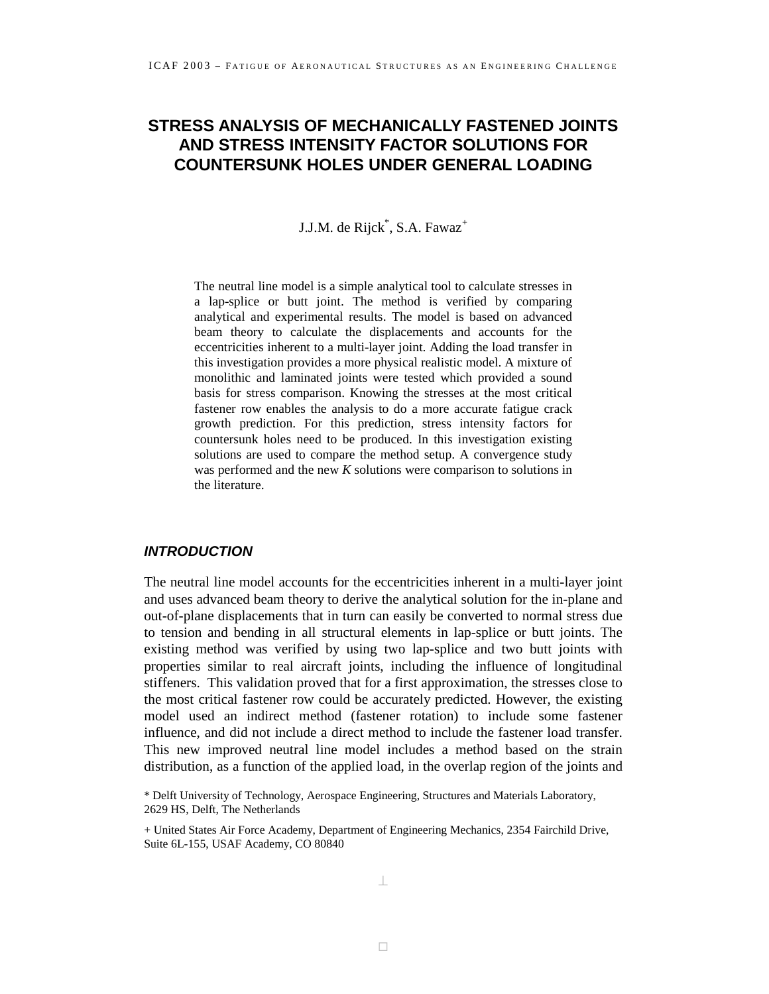# **STRESS ANALYSIS OF MECHANICALLY FASTENED JOINTS AND STRESS INTENSITY FACTOR SOLUTIONS FOR COUNTERSUNK HOLES UNDER GENERAL LOADING**

J.J.M. de Rijck<sup>\*</sup>, S.A. Fawaz<sup>+</sup>

The neutral line model is a simple analytical tool to calculate stresses in a lap-splice or butt joint. The method is verified by comparing analytical and experimental results. The model is based on advanced beam theory to calculate the displacements and accounts for the eccentricities inherent to a multi-layer joint. Adding the load transfer in this investigation provides a more physical realistic model. A mixture of monolithic and laminated joints were tested which provided a sound basis for stress comparison. Knowing the stresses at the most critical fastener row enables the analysis to do a more accurate fatigue crack growth prediction. For this prediction, stress intensity factors for countersunk holes need to be produced. In this investigation existing solutions are used to compare the method setup. A convergence study was performed and the new *K* solutions were comparison to solutions in the literature.

# *INTRODUCTION*

The neutral line model accounts for the eccentricities inherent in a multi-layer joint and uses advanced beam theory to derive the analytical solution for the in-plane and out-of-plane displacements that in turn can easily be converted to normal stress due to tension and bending in all structural elements in lap-splice or butt joints. The existing method was verified by using two lap-splice and two butt joints with properties similar to real aircraft joints, including the influence of longitudinal stiffeners. This validation proved that for a first approximation, the stresses close to the most critical fastener row could be accurately predicted. However, the existing model used an indirect method (fastener rotation) to include some fastener influence, and did not include a direct method to include the fastener load transfer. This new improved neutral line model includes a method based on the strain distribution, as a function of the applied load, in the overlap region of the joints and

\* Delft University of Technology, Aerospace Engineering, Structures and Materials Laboratory, 2629 HS, Delft, The Netherlands

+ United States Air Force Academy, Department of Engineering Mechanics, 2354 Fairchild Drive, Suite 6L-155, USAF Academy, CO 80840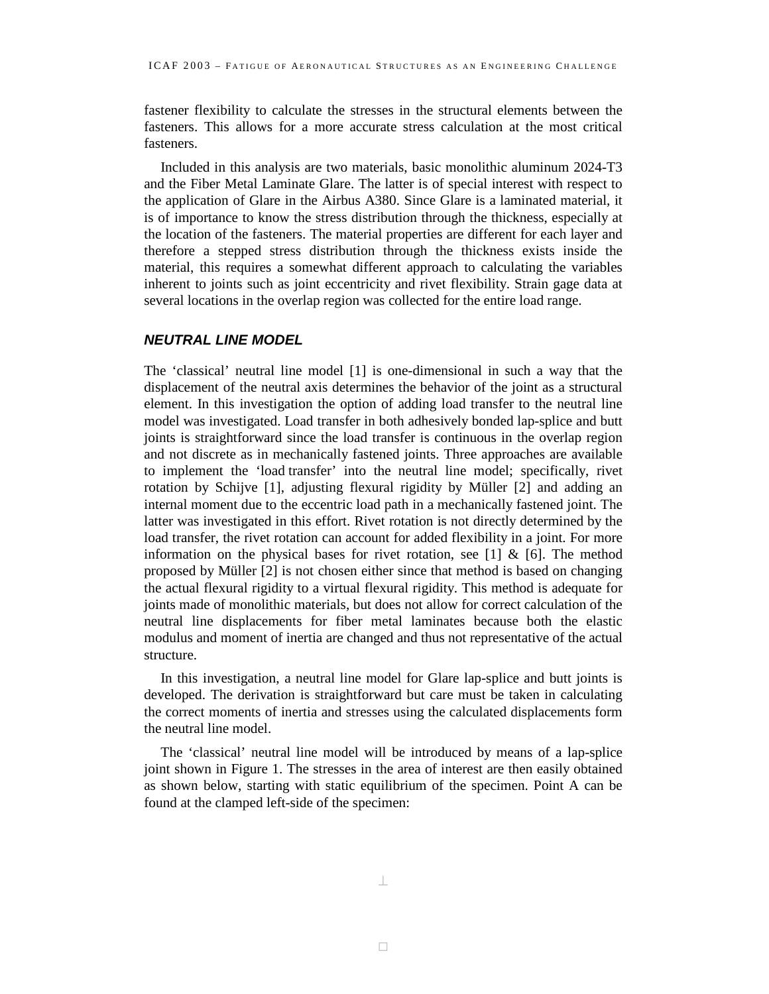fastener flexibility to calculate the stresses in the structural elements between the fasteners. This allows for a more accurate stress calculation at the most critical fasteners.

Included in this analysis are two materials, basic monolithic aluminum 2024-T3 and the Fiber Metal Laminate Glare. The latter is of special interest with respect to the application of Glare in the Airbus A380. Since Glare is a laminated material, it is of importance to know the stress distribution through the thickness, especially at the location of the fasteners. The material properties are different for each layer and therefore a stepped stress distribution through the thickness exists inside the material, this requires a somewhat different approach to calculating the variables inherent to joints such as joint eccentricity and rivet flexibility. Strain gage data at several locations in the overlap region was collected for the entire load range.

## *NEUTRAL LINE MODEL*

The 'classical' neutral line model [1] is one-dimensional in such a way that the displacement of the neutral axis determines the behavior of the joint as a structural element. In this investigation the option of adding load transfer to the neutral line model was investigated. Load transfer in both adhesively bonded lap-splice and butt joints is straightforward since the load transfer is continuous in the overlap region and not discrete as in mechanically fastened joints. Three approaches are available to implement the 'load transfer' into the neutral line model; specifically, rivet rotation by Schijve [1], adjusting flexural rigidity by Müller [2] and adding an internal moment due to the eccentric load path in a mechanically fastened joint. The latter was investigated in this effort. Rivet rotation is not directly determined by the load transfer, the rivet rotation can account for added flexibility in a joint. For more information on the physical bases for rivet rotation, see [1]  $\&$  [6]. The method proposed by Müller [2] is not chosen either since that method is based on changing the actual flexural rigidity to a virtual flexural rigidity. This method is adequate for joints made of monolithic materials, but does not allow for correct calculation of the neutral line displacements for fiber metal laminates because both the elastic modulus and moment of inertia are changed and thus not representative of the actual structure.

In this investigation, a neutral line model for Glare lap-splice and butt joints is developed. The derivation is straightforward but care must be taken in calculating the correct moments of inertia and stresses using the calculated displacements form the neutral line model.

The 'classical' neutral line model will be introduced by means of a lap-splice joint shown in Figure 1. The stresses in the area of interest are then easily obtained as shown below, starting with static equilibrium of the specimen. Point A can be found at the clamped left-side of the specimen: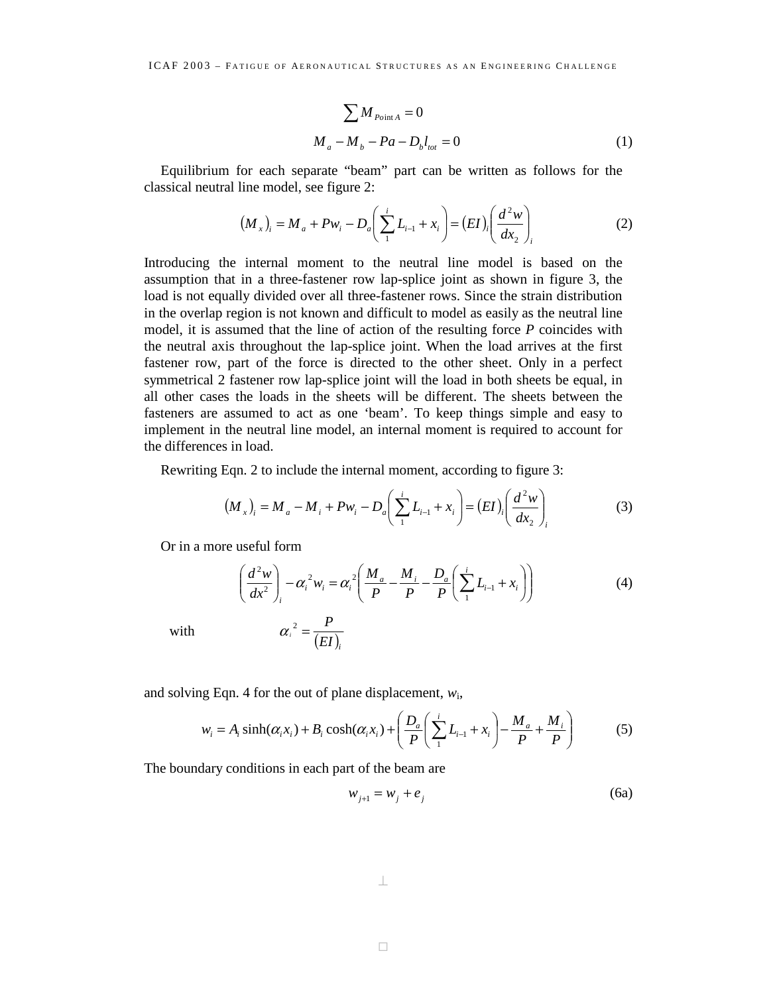$$
\sum M_{\text{Point }A} = 0
$$
  

$$
M_a - M_b - Pa - D_b l_{tot} = 0
$$
 (1)

Equilibrium for each separate "beam" part can be written as follows for the classical neutral line model, see figure 2:

$$
(M_x)_i = M_a + P w_i - D_a \left( \sum_{1}^{i} L_{i-1} + x_i \right) = (EI)_i \left( \frac{d^2 w}{dx_2} \right)_i
$$
 (2)

Introducing the internal moment to the neutral line model is based on the assumption that in a three-fastener row lap-splice joint as shown in figure 3, the load is not equally divided over all three-fastener rows. Since the strain distribution in the overlap region is not known and difficult to model as easily as the neutral line model, it is assumed that the line of action of the resulting force *P* coincides with the neutral axis throughout the lap-splice joint. When the load arrives at the first fastener row, part of the force is directed to the other sheet. Only in a perfect symmetrical 2 fastener row lap-splice joint will the load in both sheets be equal, in all other cases the loads in the sheets will be different. The sheets between the fasteners are assumed to act as one 'beam'. To keep things simple and easy to implement in the neutral line model, an internal moment is required to account for the differences in load.

Rewriting Eqn. 2 to include the internal moment, according to figure 3:

$$
(M_x)_i = M_a - M_i + P w_i - D_a \left( \sum_{i=1}^{i} L_{i-1} + x_i \right) = (EI)_i \left( \frac{d^2 w}{dx_2} \right)_i
$$
 (3)

Or in a more useful form

$$
\left(\frac{d^2w}{dx^2}\right)_i - \alpha_i^2 w_i = \alpha_i^2 \left(\frac{M_a}{P} - \frac{M_i}{P} - \frac{D_a}{P} \left(\sum_{i=1}^i L_{i-1} + x_i\right)\right)
$$
(4)

with 
$$
\alpha_i^2 = \frac{P}{(EI)_i}
$$

and solving Eqn. 4 for the out of plane displacement, *w*i,

$$
w_i = A_i \sinh(\alpha_i x_i) + B_i \cosh(\alpha_i x_i) + \left(\frac{D_a}{P} \left(\sum_{i=1}^{i} L_{i-1} + x_i\right) - \frac{M_a}{P} + \frac{M_i}{P}\right) \tag{5}
$$

The boundary conditions in each part of the beam are

$$
w_{j+1} = w_j + e_j \tag{6a}
$$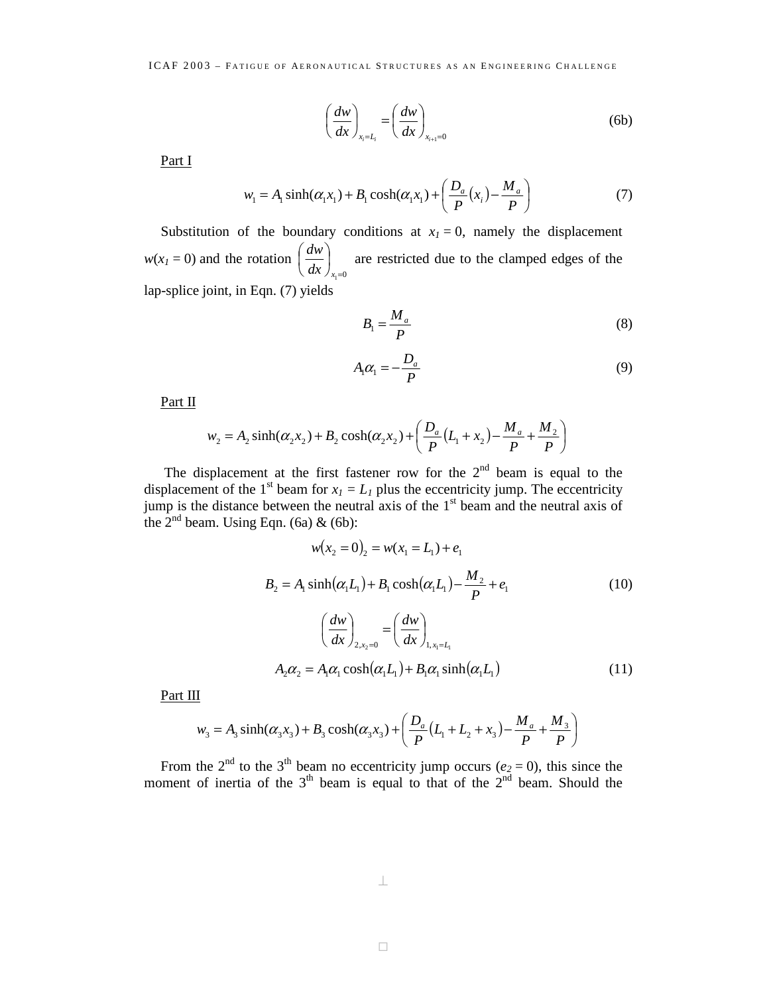$$
\left(\frac{dw}{dx}\right)_{x_i=L_i} = \left(\frac{dw}{dx}\right)_{x_{i+1}=0} \tag{6b}
$$

Part I

$$
w_1 = A_1 \sinh(\alpha_1 x_1) + B_1 \cosh(\alpha_1 x_1) + \left(\frac{D_a}{P}(x_i) - \frac{M_a}{P}\right) \tag{7}
$$

Substitution of the boundary conditions at  $x_1 = 0$ , namely the displacement  $w(x_1 = 0)$  and the rotation  $i_1 = 0$  $\overline{\phantom{a}}$ J  $\left(\frac{dw}{dx}\right)$  $\setminus$ ſ  $dx \int_{x}$  $\left(\frac{dw}{dx}\right)$  are restricted due to the clamped edges of the lap-splice joint, in Eqn. (7) yields

$$
B_1 = \frac{M_a}{P} \tag{8}
$$

$$
A_1 \alpha_1 = -\frac{D_a}{P} \tag{9}
$$

Part II

$$
w_2 = A_2 \sinh(\alpha_2 x_2) + B_2 \cosh(\alpha_2 x_2) + \left(\frac{D_a}{P}(L_1 + x_2) - \frac{M_a}{P} + \frac{M_2}{P}\right)
$$

The displacement at the first fastener row for the  $2<sup>nd</sup>$  beam is equal to the displacement of the 1<sup>st</sup> beam for  $x_1 = L_1$  plus the eccentricity jump. The eccentricity jump is the distance between the neutral axis of the  $1<sup>st</sup>$  beam and the neutral axis of the  $2^{nd}$  beam. Using Eqn. (6a) & (6b):

$$
w(x_2 = 0)_2 = w(x_1 = L_1) + e_1
$$
  
\n
$$
B_2 = A_1 \sinh(\alpha_1 L_1) + B_1 \cosh(\alpha_1 L_1) - \frac{M_2}{P} + e_1
$$
  
\n
$$
\left(\frac{dw}{dx}\right)_{2, x_2 = 0} = \left(\frac{dw}{dx}\right)_{1, x_1 = L_1}
$$
  
\n
$$
A_2 \alpha_2 = A_1 \alpha_1 \cosh(\alpha_1 L_1) + B_1 \alpha_1 \sinh(\alpha_1 L_1)
$$
\n(11)

Part III

$$
w_3 = A_3 \sinh(\alpha_3 x_3) + B_3 \cosh(\alpha_3 x_3) + \left(\frac{D_a}{P}(L_1 + L_2 + x_3) - \frac{M_a}{P} + \frac{M_3}{P}\right)
$$

From the 2<sup>nd</sup> to the 3<sup>th</sup> beam no eccentricity jump occurs ( $e_2 = 0$ ), this since the moment of inertia of the  $3<sup>th</sup>$  beam is equal to that of the  $2<sup>nd</sup>$  beam. Should the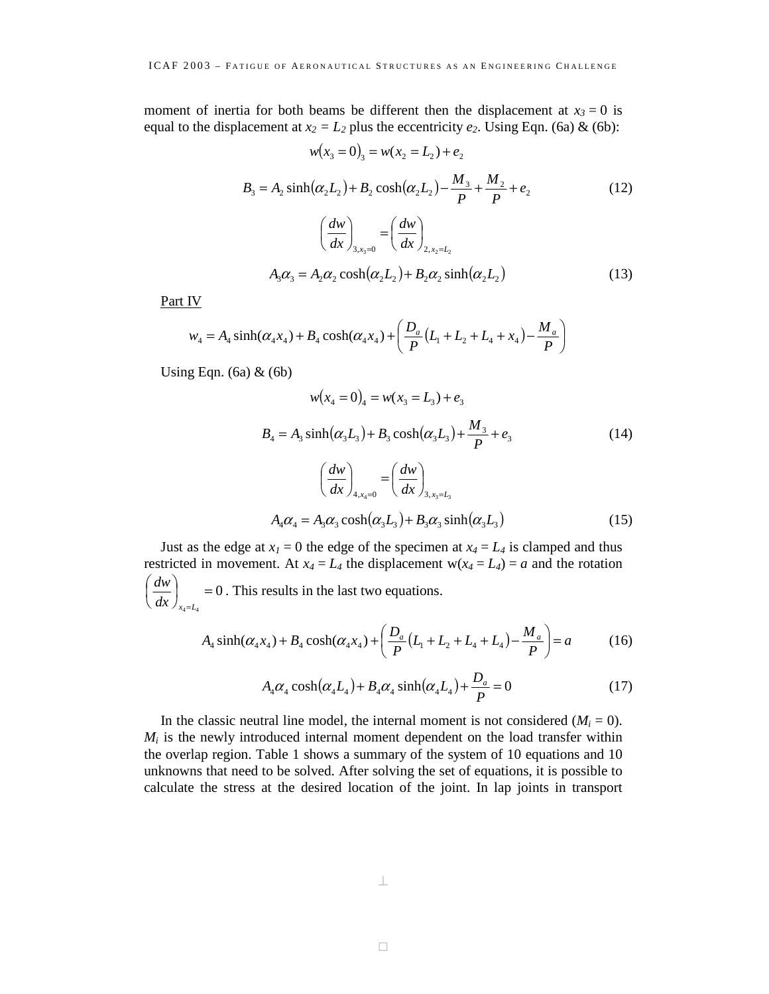moment of inertia for both beams be different then the displacement at  $x_3 = 0$  is equal to the displacement at  $x_2 = L_2$  plus the eccentricity  $e_2$ . Using Eqn. (6a) & (6b):

$$
w(x_3 = 0)_3 = w(x_2 = L_2) + e_2
$$
  
\n
$$
B_3 = A_2 \sinh(\alpha_2 L_2) + B_2 \cosh(\alpha_2 L_2) - \frac{M_3}{P} + \frac{M_2}{P} + e_2
$$
  
\n
$$
\left(\frac{dw}{dx}\right)_{3, x_3 = 0} = \left(\frac{dw}{dx}\right)_{2, x_2 = L_2}
$$
  
\n
$$
A_3 \alpha_3 = A_2 \alpha_2 \cosh(\alpha_2 L_2) + B_2 \alpha_2 \sinh(\alpha_2 L_2)
$$
\n(13)

Part IV

$$
w_4 = A_4 \sinh(\alpha_4 x_4) + B_4 \cosh(\alpha_4 x_4) + \left(\frac{D_a}{P}(L_1 + L_2 + L_4 + x_4) - \frac{M_a}{P}\right)
$$

Using Eqn. (6a)  $\&$  (6b)

$$
w(x_4 = 0)_4 = w(x_3 = L_3) + e_3
$$
  
\n
$$
B_4 = A_3 \sinh(\alpha_3 L_3) + B_3 \cosh(\alpha_3 L_3) + \frac{M_3}{P} + e_3
$$
 (14)  
\n
$$
\left(\frac{dw}{dx}\right)_{4, x_4 = 0} = \left(\frac{dw}{dx}\right)_{3, x_3 = L_3}
$$
  
\n
$$
A_4 \alpha_4 = A_3 \alpha_3 \cosh(\alpha_3 L_3) + B_3 \alpha_3 \sinh(\alpha_3 L_3)
$$
 (15)

Just as the edge at  $x_1 = 0$  the edge of the specimen at  $x_4 = L_4$  is clamped and thus restricted in movement. At  $x_4 = L_4$  the displacement  $w(x_4 = L_4) = a$  and the rotation  $\left(\frac{dw}{dx}\right)_{x_0=L_0} = 0$ . This results in the last two equations.  $dw$ ſ

$$
\bigl(\right. \, dx \, \bigr)_{_{x_4 = L_4}}
$$

$$
A_4 \sinh(\alpha_4 x_4) + B_4 \cosh(\alpha_4 x_4) + \left(\frac{D_a}{P}(L_1 + L_2 + L_4 + L_4) - \frac{M_a}{P}\right) = a \tag{16}
$$

$$
A_4 \alpha_4 \cosh(\alpha_4 L_4) + B_4 \alpha_4 \sinh(\alpha_4 L_4) + \frac{D_a}{P} = 0 \tag{17}
$$

In the classic neutral line model, the internal moment is not considered  $(M<sub>i</sub> = 0)$ .  $M_i$  is the newly introduced internal moment dependent on the load transfer within the overlap region. Table 1 shows a summary of the system of 10 equations and 10 unknowns that need to be solved. After solving the set of equations, it is possible to calculate the stress at the desired location of the joint. In lap joints in transport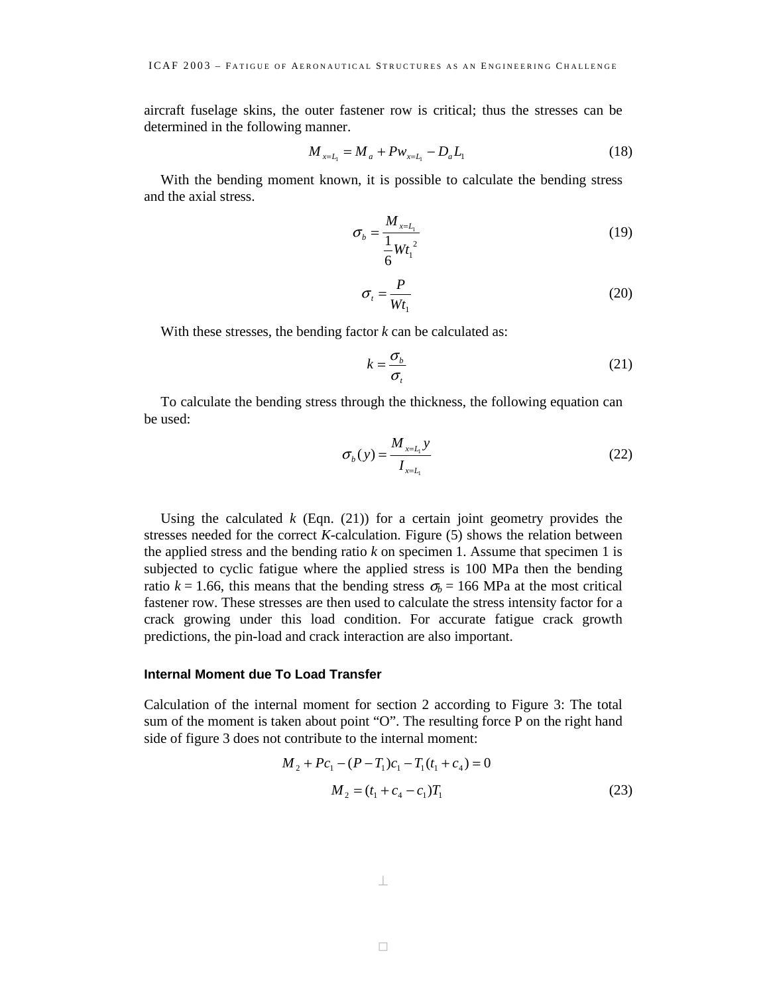aircraft fuselage skins, the outer fastener row is critical; thus the stresses can be determined in the following manner.

$$
M_{x=L_1} = M_a + P w_{x=L_1} - D_a L_1 \tag{18}
$$

With the bending moment known, it is possible to calculate the bending stress and the axial stress.

$$
\sigma_b = \frac{M_{x=L_1}}{\frac{1}{6}Wt_1^2}
$$
\n(19)

$$
\sigma_t = \frac{P}{Wt_1} \tag{20}
$$

With these stresses, the bending factor *k* can be calculated as:

$$
k = \frac{\sigma_b}{\sigma_t} \tag{21}
$$

To calculate the bending stress through the thickness, the following equation can be used:

$$
\sigma_b(y) = \frac{M_{x=L_1} y}{I_{x=L_1}}
$$
\n(22)

Using the calculated  $k$  (Eqn. (21)) for a certain joint geometry provides the stresses needed for the correct *K*-calculation. Figure (5) shows the relation between the applied stress and the bending ratio *k* on specimen 1. Assume that specimen 1 is subjected to cyclic fatigue where the applied stress is 100 MPa then the bending ratio  $k = 1.66$ , this means that the bending stress  $\sigma_b = 166$  MPa at the most critical fastener row. These stresses are then used to calculate the stress intensity factor for a crack growing under this load condition. For accurate fatigue crack growth predictions, the pin-load and crack interaction are also important.

#### **Internal Moment due To Load Transfer**

Calculation of the internal moment for section 2 according to Figure 3: The total sum of the moment is taken about point "O". The resulting force P on the right hand side of figure 3 does not contribute to the internal moment:

$$
M_2 + Pc_1 - (P - T_1)c_1 - T_1(t_1 + c_4) = 0
$$
  

$$
M_2 = (t_1 + c_4 - c_1)T_1
$$
 (23)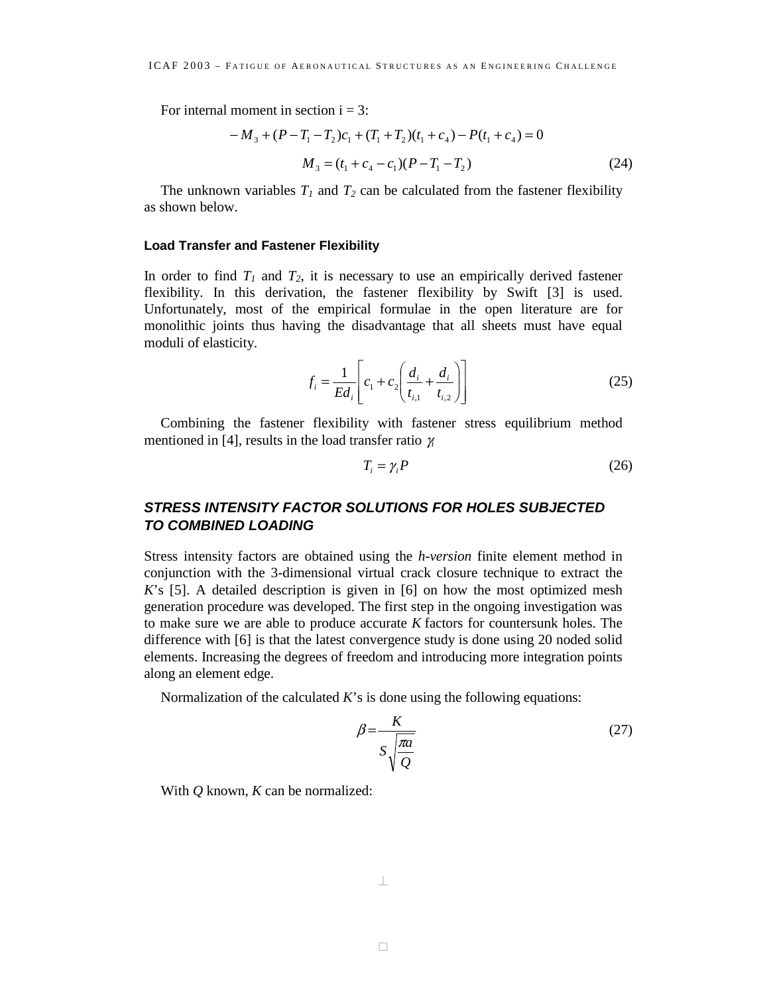For internal moment in section  $i = 3$ :

$$
-M_3 + (P - T_1 - T_2)c_1 + (T_1 + T_2)(t_1 + c_4) - P(t_1 + c_4) = 0
$$
  

$$
M_3 = (t_1 + c_4 - c_1)(P - T_1 - T_2)
$$
 (24)

The unknown variables  $T_1$  and  $T_2$  can be calculated from the fastener flexibility as shown below.

#### **Load Transfer and Fastener Flexibility**

In order to find  $T_1$  and  $T_2$ , it is necessary to use an empirically derived fastener flexibility. In this derivation, the fastener flexibility by Swift [3] is used. Unfortunately, most of the empirical formulae in the open literature are for monolithic joints thus having the disadvantage that all sheets must have equal moduli of elasticity.

$$
f_i = \frac{1}{Ed_i} \left[ c_1 + c_2 \left( \frac{d_i}{t_{i,1}} + \frac{d_i}{t_{i,2}} \right) \right]
$$
 (25)

Combining the fastener flexibility with fastener stress equilibrium method mentioned in [4], results in the load transfer ratio γ*<sup>i</sup>*

$$
T_i = \gamma_i P \tag{26}
$$

# *STRESS INTENSITY FACTOR SOLUTIONS FOR HOLES SUBJECTED TO COMBINED LOADING*

Stress intensity factors are obtained using the *h-version* finite element method in conjunction with the 3-dimensional virtual crack closure technique to extract the *K*'s [5]. A detailed description is given in [6] on how the most optimized mesh generation procedure was developed. The first step in the ongoing investigation was to make sure we are able to produce accurate *K* factors for countersunk holes. The difference with [6] is that the latest convergence study is done using 20 noded solid elements. Increasing the degrees of freedom and introducing more integration points along an element edge.

Normalization of the calculated *K*'s is done using the following equations:

$$
\beta = \frac{K}{S\sqrt{\frac{\pi a}{Q}}} \tag{27}
$$

With *Q* known, *K* can be normalized: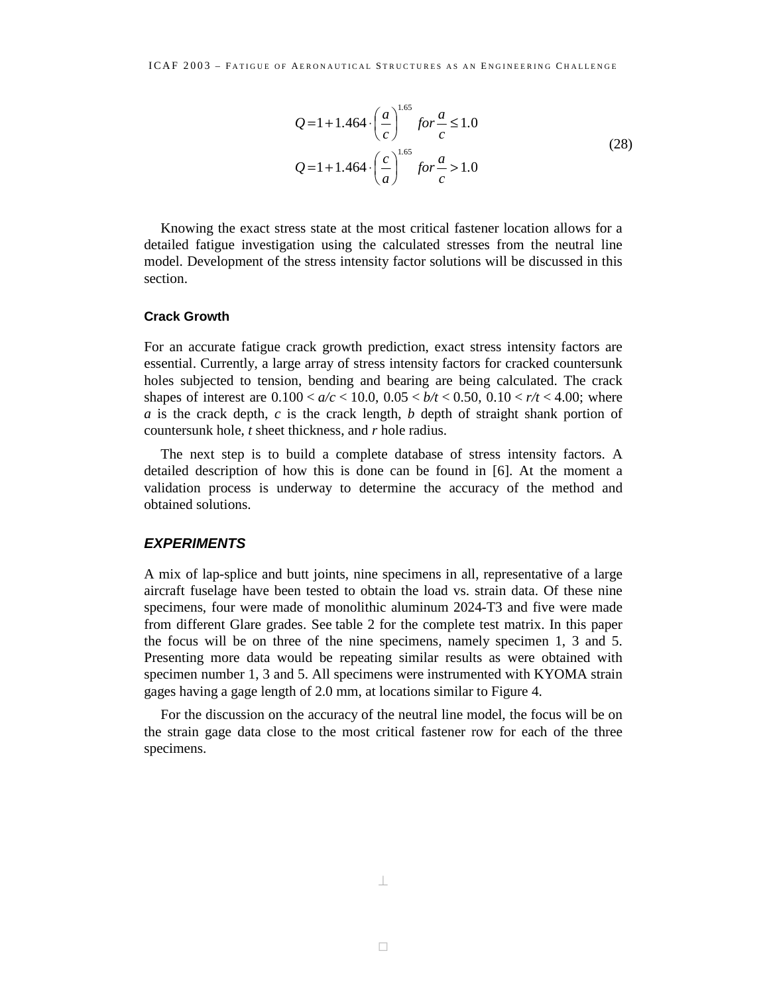$$
Q = 1 + 1.464 \cdot \left(\frac{a}{c}\right)^{1.65} \text{ for } \frac{a}{c} \le 1.0
$$
  

$$
Q = 1 + 1.464 \cdot \left(\frac{c}{a}\right)^{1.65} \text{ for } \frac{a}{c} > 1.0
$$
 (28)

Knowing the exact stress state at the most critical fastener location allows for a detailed fatigue investigation using the calculated stresses from the neutral line model. Development of the stress intensity factor solutions will be discussed in this section.

#### **Crack Growth**

For an accurate fatigue crack growth prediction, exact stress intensity factors are essential. Currently, a large array of stress intensity factors for cracked countersunk holes subjected to tension, bending and bearing are being calculated. The crack shapes of interest are  $0.100 < a/c < 10.0$ ,  $0.05 < b/t < 0.50$ ,  $0.10 < r/t < 4.00$ ; where *a* is the crack depth, *c* is the crack length, *b* depth of straight shank portion of countersunk hole, *t* sheet thickness, and *r* hole radius.

The next step is to build a complete database of stress intensity factors. A detailed description of how this is done can be found in [6]. At the moment a validation process is underway to determine the accuracy of the method and obtained solutions.

#### *EXPERIMENTS*

A mix of lap-splice and butt joints, nine specimens in all, representative of a large aircraft fuselage have been tested to obtain the load vs. strain data. Of these nine specimens, four were made of monolithic aluminum 2024-T3 and five were made from different Glare grades. See table 2 for the complete test matrix. In this paper the focus will be on three of the nine specimens, namely specimen 1, 3 and 5. Presenting more data would be repeating similar results as were obtained with specimen number 1, 3 and 5. All specimens were instrumented with KYOMA strain gages having a gage length of 2.0 mm, at locations similar to Figure 4.

For the discussion on the accuracy of the neutral line model, the focus will be on the strain gage data close to the most critical fastener row for each of the three specimens.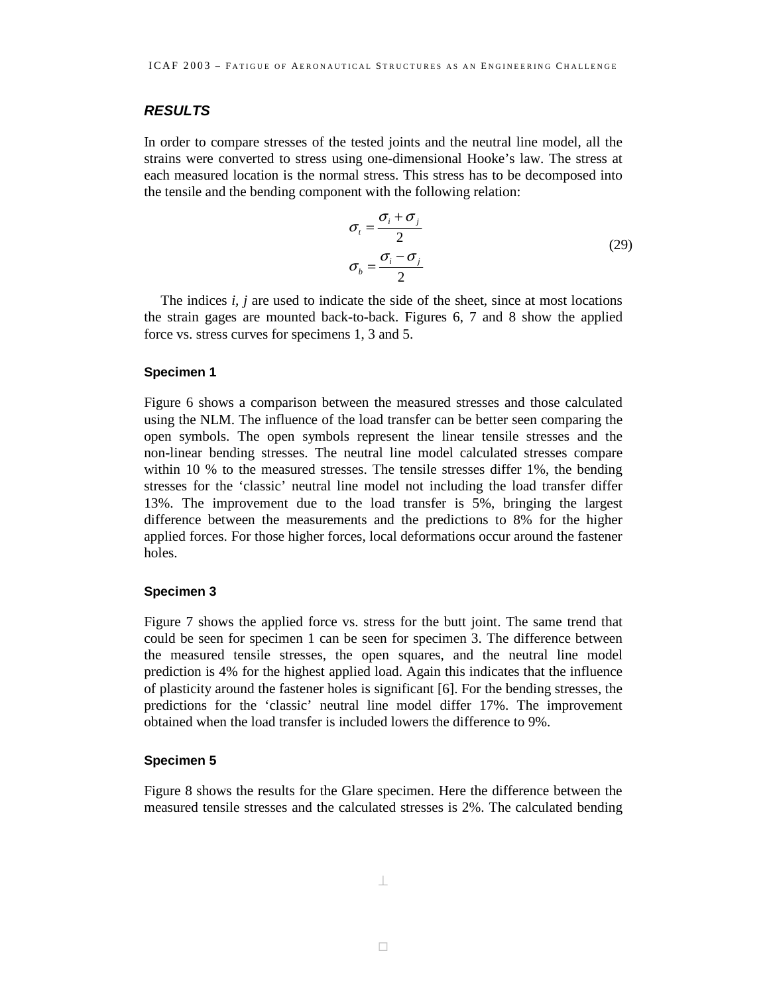# *RESULTS*

In order to compare stresses of the tested joints and the neutral line model, all the strains were converted to stress using one-dimensional Hooke's law. The stress at each measured location is the normal stress. This stress has to be decomposed into the tensile and the bending component with the following relation:

$$
\sigma_i = \frac{\sigma_i + \sigma_j}{2}
$$
\n
$$
\sigma_b = \frac{\sigma_i - \sigma_j}{2}
$$
\n(29)

The indices *i, j* are used to indicate the side of the sheet, since at most locations the strain gages are mounted back-to-back. Figures 6, 7 and 8 show the applied force vs. stress curves for specimens 1, 3 and 5.

#### **Specimen 1**

Figure 6 shows a comparison between the measured stresses and those calculated using the NLM. The influence of the load transfer can be better seen comparing the open symbols. The open symbols represent the linear tensile stresses and the non-linear bending stresses. The neutral line model calculated stresses compare within 10 % to the measured stresses. The tensile stresses differ 1%, the bending stresses for the 'classic' neutral line model not including the load transfer differ 13%. The improvement due to the load transfer is 5%, bringing the largest difference between the measurements and the predictions to 8% for the higher applied forces. For those higher forces, local deformations occur around the fastener holes.

#### **Specimen 3**

Figure 7 shows the applied force vs. stress for the butt joint. The same trend that could be seen for specimen 1 can be seen for specimen 3. The difference between the measured tensile stresses, the open squares, and the neutral line model prediction is 4% for the highest applied load. Again this indicates that the influence of plasticity around the fastener holes is significant [6]. For the bending stresses, the predictions for the 'classic' neutral line model differ 17%. The improvement obtained when the load transfer is included lowers the difference to 9%.

#### **Specimen 5**

Figure 8 shows the results for the Glare specimen. Here the difference between the measured tensile stresses and the calculated stresses is 2%. The calculated bending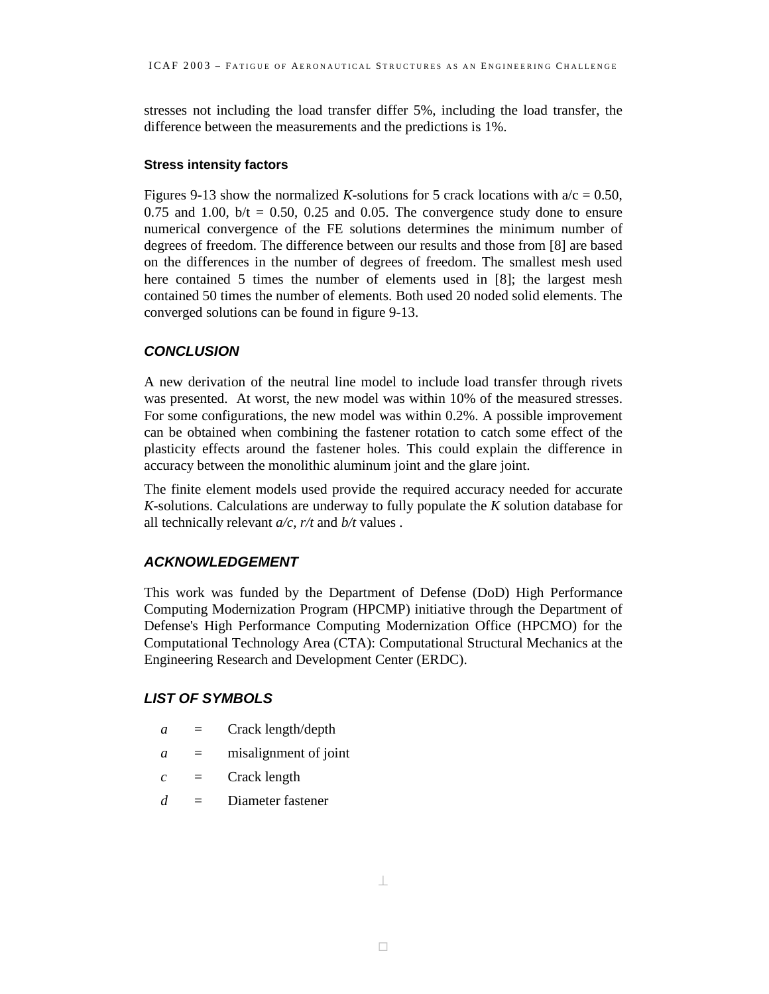stresses not including the load transfer differ 5%, including the load transfer, the difference between the measurements and the predictions is 1%.

### **Stress intensity factors**

Figures 9-13 show the normalized *K*-solutions for 5 crack locations with  $a/c = 0.50$ , 0.75 and 1.00,  $b/t = 0.50$ , 0.25 and 0.05. The convergence study done to ensure numerical convergence of the FE solutions determines the minimum number of degrees of freedom. The difference between our results and those from [8] are based on the differences in the number of degrees of freedom. The smallest mesh used here contained 5 times the number of elements used in [8]; the largest mesh contained 50 times the number of elements. Both used 20 noded solid elements. The converged solutions can be found in figure 9-13.

# *CONCLUSION*

A new derivation of the neutral line model to include load transfer through rivets was presented. At worst, the new model was within 10% of the measured stresses. For some configurations, the new model was within 0.2%. A possible improvement can be obtained when combining the fastener rotation to catch some effect of the plasticity effects around the fastener holes. This could explain the difference in accuracy between the monolithic aluminum joint and the glare joint.

The finite element models used provide the required accuracy needed for accurate *K*-solutions. Calculations are underway to fully populate the *K* solution database for all technically relevant *a/c*, *r/t* and *b/t* values .

# *ACKNOWLEDGEMENT*

This work was funded by the Department of Defense (DoD) High Performance Computing Modernization Program (HPCMP) initiative through the Department of Defense's High Performance Computing Modernization Office (HPCMO) for the Computational Technology Area (CTA): Computational Structural Mechanics at the Engineering Research and Development Center (ERDC).

# *LIST OF SYMBOLS*

- *a* = Crack length/depth
- *a* = misalignment of joint
- $c =$  Crack length
- *d* = Diameter fastener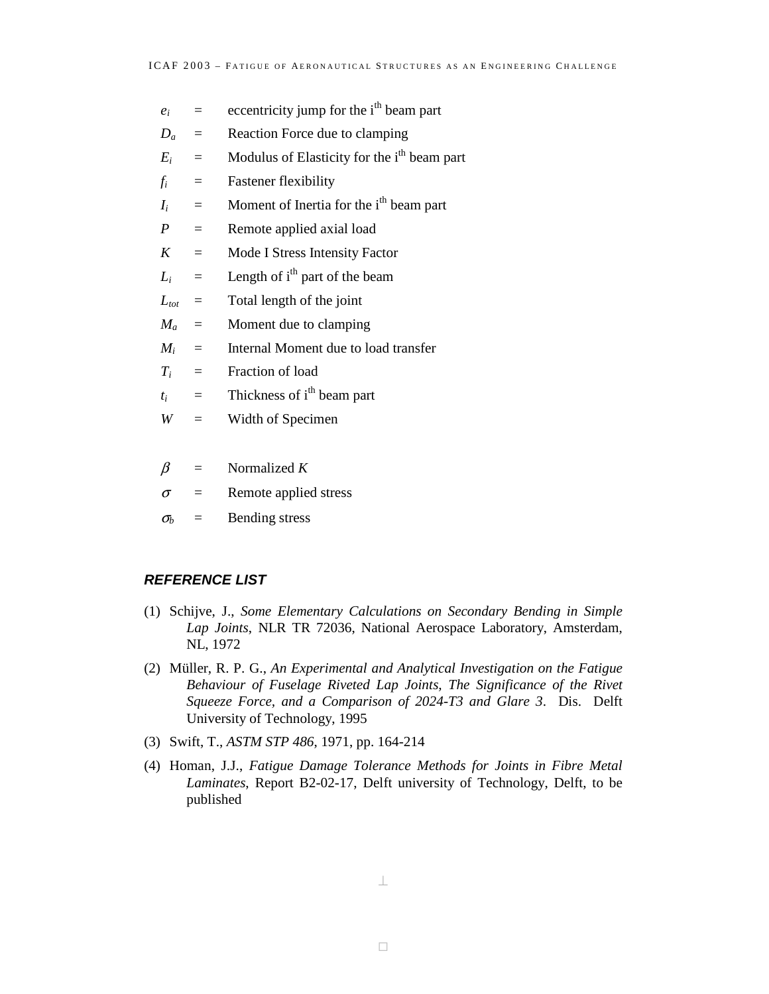- $e_i$  = eccentricity jump for the i<sup>th</sup> beam part
- $D_a$  = Reaction Force due to clamping
- $E_i$  = Modulus of Elasticity for the i<sup>th</sup> beam part
- $f_i$  = Fastener flexibility
- $I_i$  = Moment of Inertia for the i<sup>th</sup> beam part
- *P* = Remote applied axial load
- *K* = Mode I Stress Intensity Factor
- $L_i$  = Length of i<sup>th</sup> part of the beam
- $L_{tot}$  = Total length of the joint
- $M_a$  = Moment due to clamping
- $M_i$  = Internal Moment due to load transfer
- $T_i$  = Fraction of load
- $t_i$  = Thickness of i<sup>th</sup> beam part
- *W* = Width of Specimen
- $\beta$  = Normalized *K*
- $\sigma$  = Remote applied stress
- $\sigma_b$  = Bending stress

# *REFERENCE LIST*

- (1) Schijve, J., *Some Elementary Calculations on Secondary Bending in Simple Lap Joints*, NLR TR 72036, National Aerospace Laboratory, Amsterdam, NL, 1972
- (2) Müller, R. P. G., *An Experimental and Analytical Investigation on the Fatigue Behaviour of Fuselage Riveted Lap Joints, The Significance of the Rivet Squeeze Force, and a Comparison of 2024-T3 and Glare 3*. Dis. Delft University of Technology, 1995
- (3) Swift, T., *ASTM STP 486*, 1971, pp. 164-214
- (4) Homan, J.J., *Fatigue Damage Tolerance Methods for Joints in Fibre Metal Laminates*, Report B2-02-17, Delft university of Technology, Delft, to be published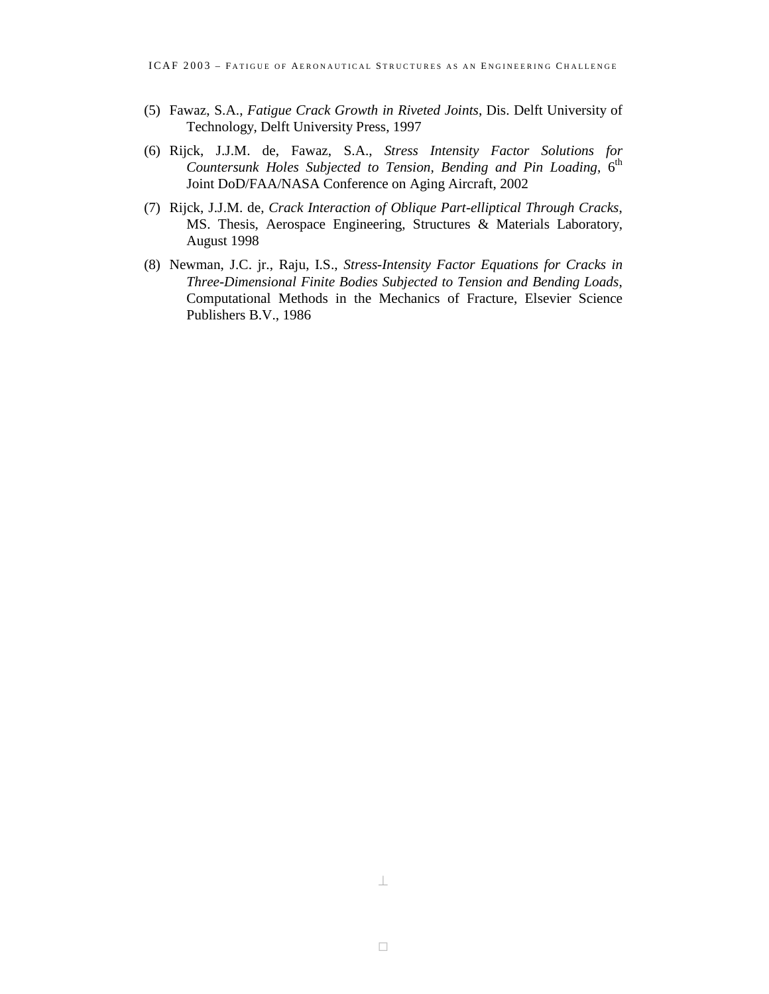- (5) Fawaz, S.A., *Fatigue Crack Growth in Riveted Joints*, Dis. Delft University of Technology, Delft University Press, 1997
- (6) Rijck, J.J.M. de, Fawaz, S.A., *Stress Intensity Factor Solutions for Countersunk Holes Subjected to Tension, Bending and Pin Loading,* 6<sup>th</sup> Joint DoD/FAA/NASA Conference on Aging Aircraft, 2002
- (7) Rijck, J.J.M. de, *Crack Interaction of Oblique Part-elliptical Through Cracks*, MS. Thesis, Aerospace Engineering, Structures & Materials Laboratory, August 1998
- (8) Newman, J.C. jr., Raju, I.S., *Stress-Intensity Factor Equations for Cracks in Three-Dimensional Finite Bodies Subjected to Tension and Bending Loads*, Computational Methods in the Mechanics of Fracture, Elsevier Science Publishers B.V., 1986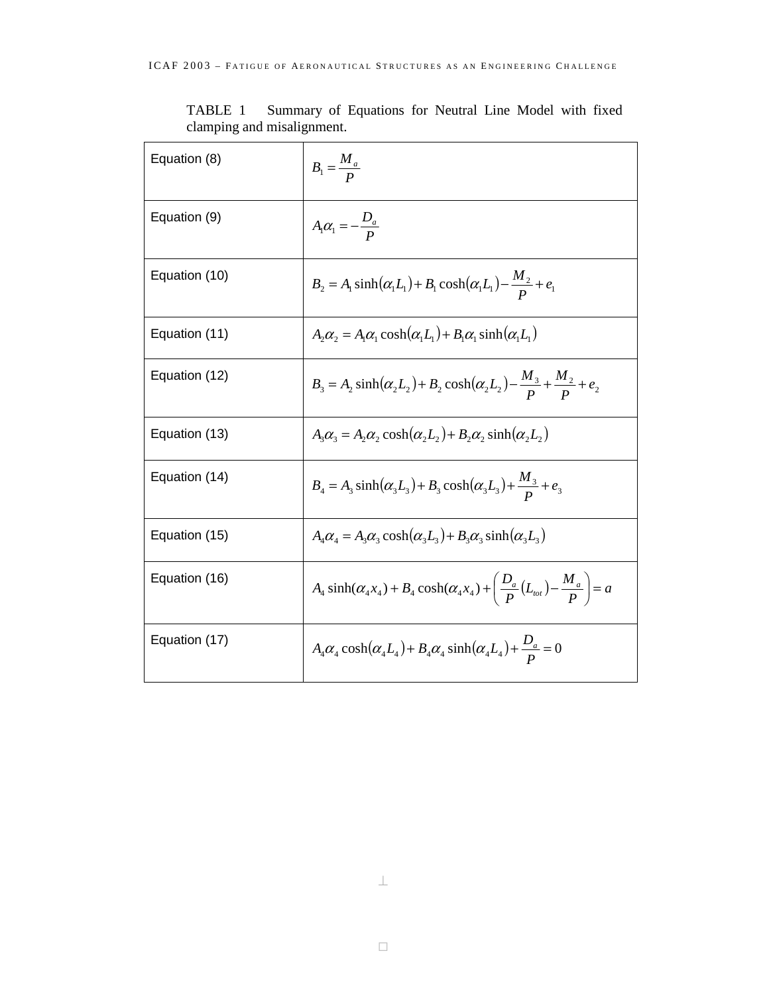| Equation (8)  | $B_1 = \frac{M_a}{R}$                                                                                         |
|---------------|---------------------------------------------------------------------------------------------------------------|
| Equation (9)  | $A_1\alpha_1=-\frac{D_a}{R}$                                                                                  |
| Equation (10) | $B_2 = A_1 \sinh(\alpha_1 L_1) + B_1 \cosh(\alpha_1 L_1) - \frac{M_2}{R_1} + e_1$                             |
| Equation (11) | $A_2 \alpha_2 = A_1 \alpha_1 \cosh(\alpha_1 L_1) + B_1 \alpha_1 \sinh(\alpha_1 L_1)$                          |
| Equation (12) | $B_3 = A_2 \sinh(\alpha_2 L_2) + B_2 \cosh(\alpha_2 L_2) - \frac{M_3}{R_2} + \frac{M_2}{R_2} + e_2$           |
| Equation (13) | $A_3\alpha_3 = A_2\alpha_2 \cosh(\alpha_2 L_2) + B_2\alpha_2 \sinh(\alpha_2 L_2)$                             |
| Equation (14) | $B_4 = A_3 \sinh(\alpha_3 L_3) + B_3 \cosh(\alpha_3 L_3) + \frac{M_3}{R_3} + e_3$                             |
| Equation (15) | $A_4\alpha_4 = A_3\alpha_3 \cosh(\alpha_3 L_3) + B_3\alpha_3 \sinh(\alpha_3 L_3)$                             |
| Equation (16) | $A_4 \sinh(\alpha_4 x_4) + B_4 \cosh(\alpha_4 x_4) + \left(\frac{D_a}{P}(L_{tot}) - \frac{M_a}{P}\right) = a$ |
| Equation (17) | $A_4\alpha_4 \cosh(\alpha_4 L_4) + B_4\alpha_4 \sinh(\alpha_4 L_4) + \frac{D_a}{R} = 0$                       |

TABLE 1 Summary of Equations for Neutral Line Model with fixed clamping and misalignment.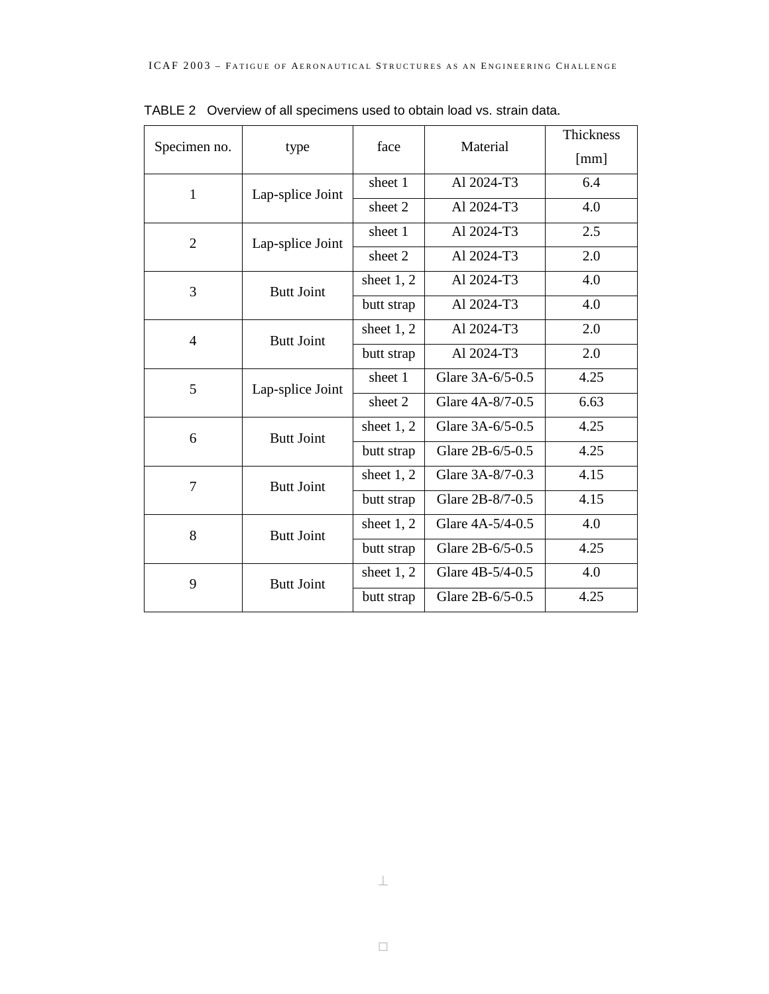|                |                   | face         | Material         | Thickness |
|----------------|-------------------|--------------|------------------|-----------|
| Specimen no.   | type              |              |                  | [mm]      |
| 1              | Lap-splice Joint  | sheet 1      | Al 2024-T3       | 6.4       |
|                |                   | sheet 2      | Al 2024-T3       | 4.0       |
| $\overline{2}$ | Lap-splice Joint  | sheet 1      | Al 2024-T3       | 2.5       |
|                |                   | sheet 2      | Al 2024-T3       | 2.0       |
| 3              | <b>Butt Joint</b> | sheet $1, 2$ | Al 2024-T3       | 4.0       |
|                |                   | butt strap   | Al 2024-T3       | 4.0       |
| 4              | <b>Butt Joint</b> | sheet $1, 2$ | Al 2024-T3       | 2.0       |
|                |                   | butt strap   | Al 2024-T3       | 2.0       |
| 5              | Lap-splice Joint  | sheet 1      | Glare 3A-6/5-0.5 | 4.25      |
|                |                   | sheet 2      | Glare 4A-8/7-0.5 | 6.63      |
| 6              | <b>Butt Joint</b> | sheet $1, 2$ | Glare 3A-6/5-0.5 | 4.25      |
|                |                   | butt strap   | Glare 2B-6/5-0.5 | 4.25      |
| 7              | <b>Butt Joint</b> | sheet $1, 2$ | Glare 3A-8/7-0.3 | 4.15      |
|                |                   | butt strap   | Glare 2B-8/7-0.5 | 4.15      |
| 8              | <b>Butt Joint</b> | sheet $1, 2$ | Glare 4A-5/4-0.5 | 4.0       |
|                |                   | butt strap   | Glare 2B-6/5-0.5 | 4.25      |
| 9              | <b>Butt Joint</b> | sheet $1, 2$ | Glare 4B-5/4-0.5 | 4.0       |
|                |                   | butt strap   | Glare 2B-6/5-0.5 | 4.25      |

TABLE 2 Overview of all specimens used to obtain load vs. strain data.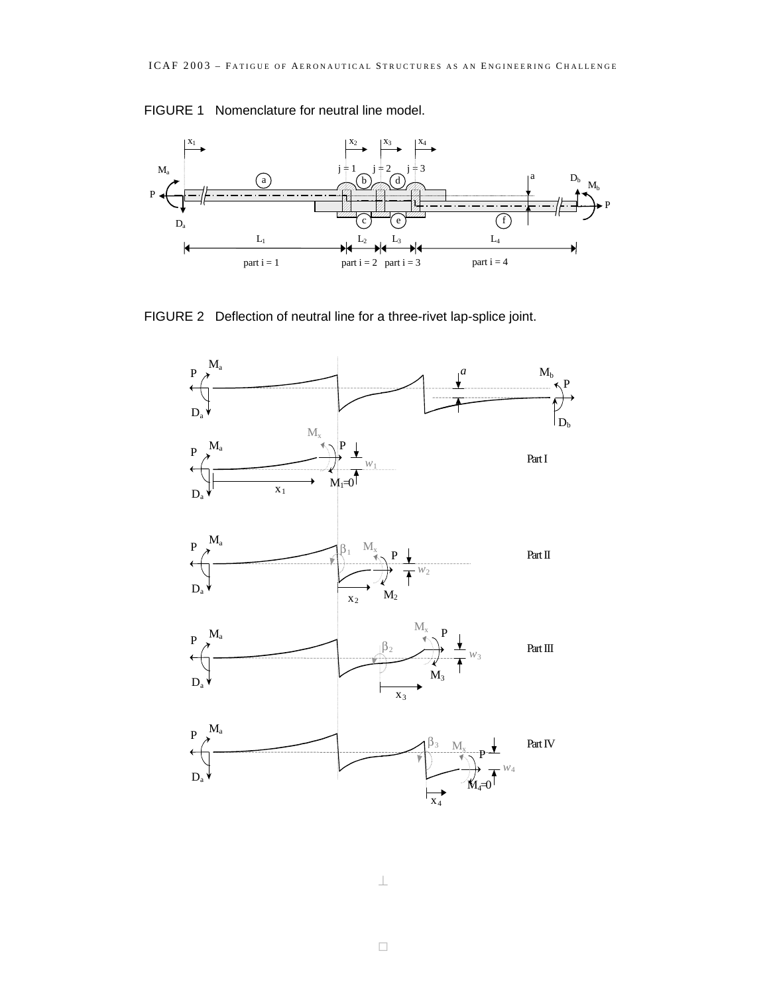### FIGURE 1 Nomenclature for neutral line model.



FIGURE 2 Deflection of neutral line for a three-rivet lap-splice joint.



⊥

 $\Box$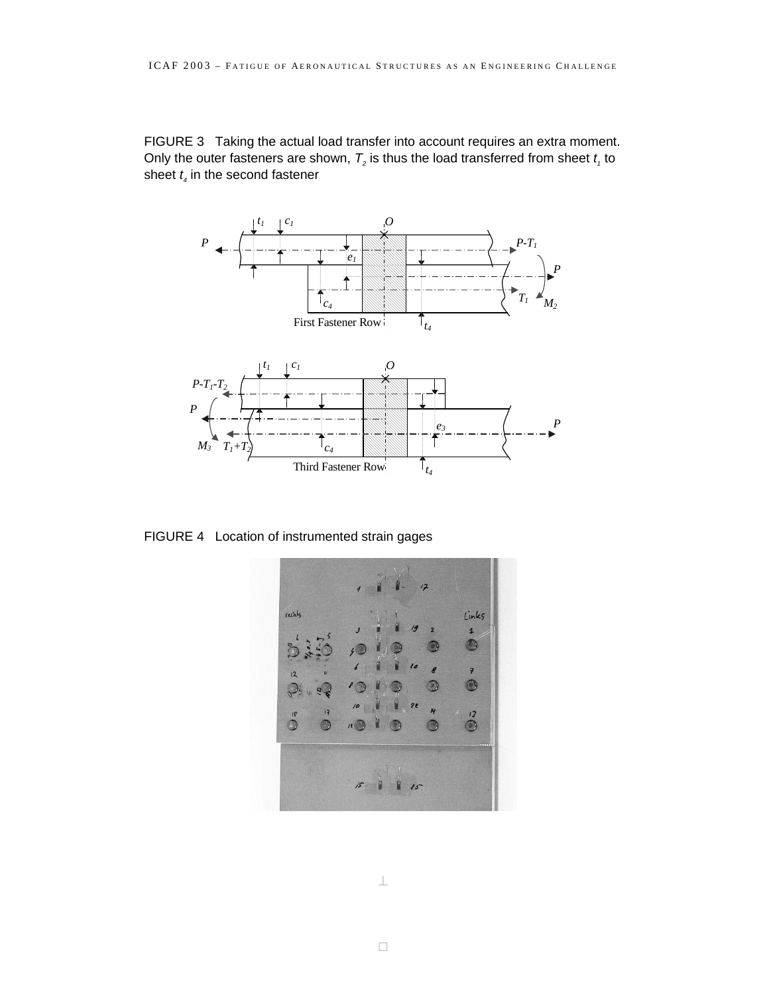FIGURE 3 Taking the actual load transfer into account requires an extra moment. Only the outer fasteners are shown,  $T_2$  is thus the load transferred from sheet  $t_1$  to sheet  $t_{\scriptscriptstyle 4}$  in the second fastener



FIGURE 4 Location of instrumented strain gages

rechbs Links  $\overline{\mathbf{1}}$  $\bigcirc$  $\overline{\mathbf{z}}$ 0  $\mathbf{M}$  $17$  $\circledcirc$  $\overline{\mathcal{R}}$ G  $\circledcirc$  $825$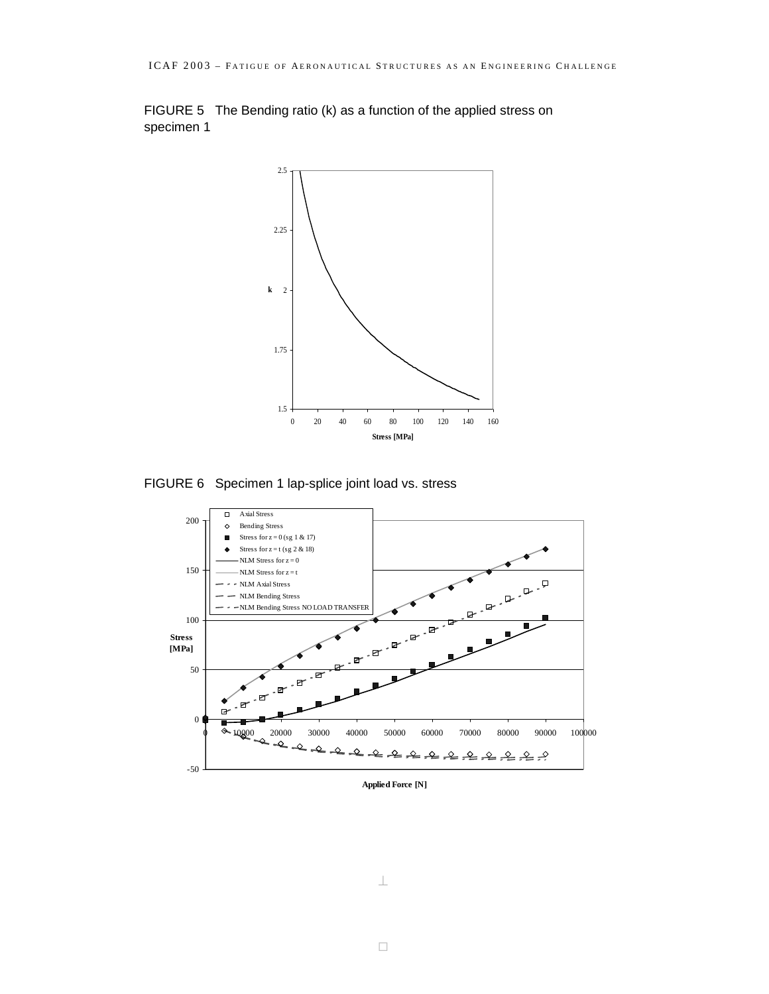FIGURE 5 The Bending ratio (k) as a function of the applied stress on specimen 1



FIGURE 6 Specimen 1 lap-splice joint load vs. stress



**Applied Force [N]**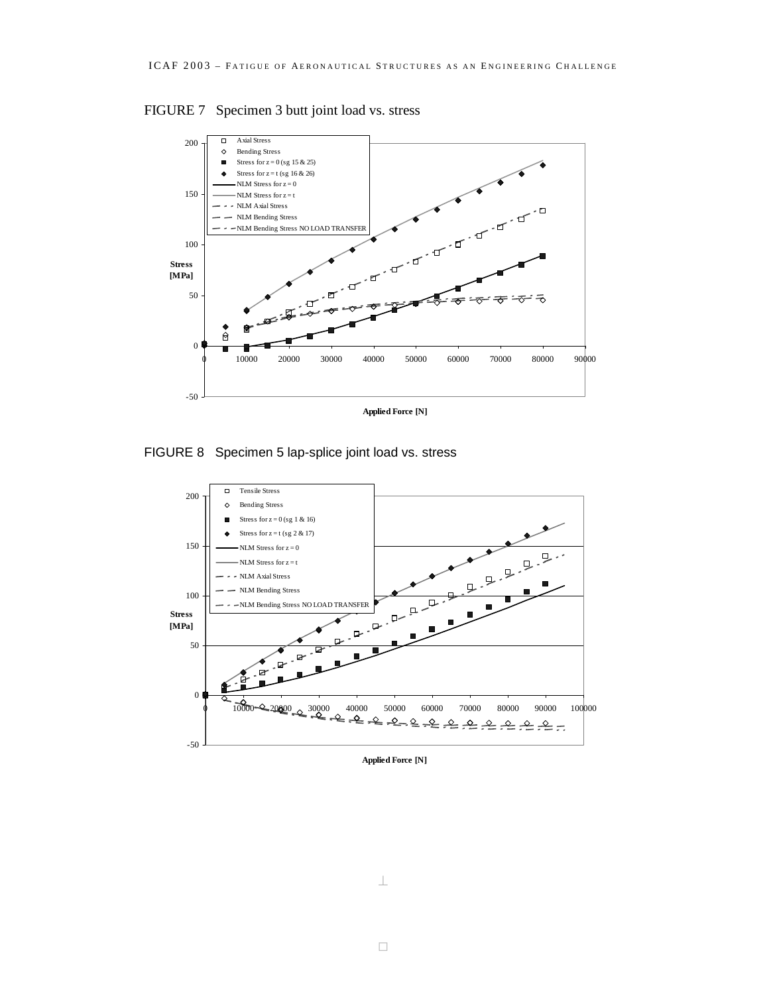



FIGURE 8 Specimen 5 lap-splice joint load vs. stress



**Applied Force [N]**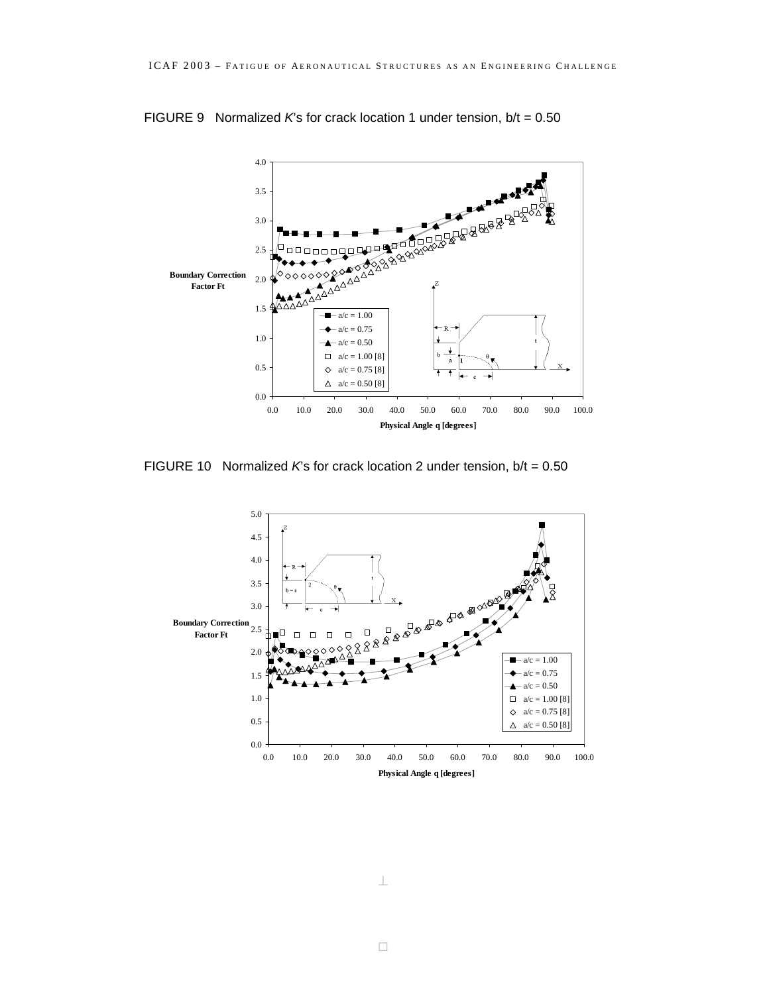

FIGURE 9 Normalized *K*'s for crack location 1 under tension, b/t = 0.50

FIGURE 10 Normalized  $K$ 's for crack location 2 under tension,  $b/t = 0.50$ 

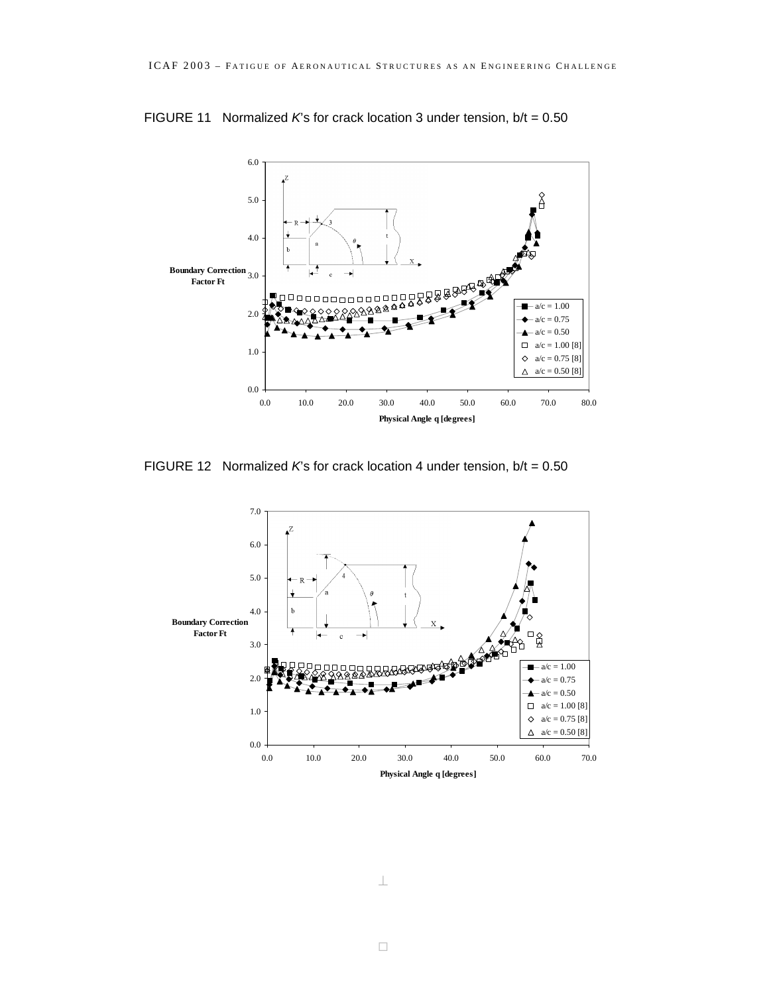

FIGURE 11 Normalized *K*'s for crack location 3 under tension, b/t = 0.50

FIGURE 12 Normalized *K*'s for crack location 4 under tension, b/t = 0.50